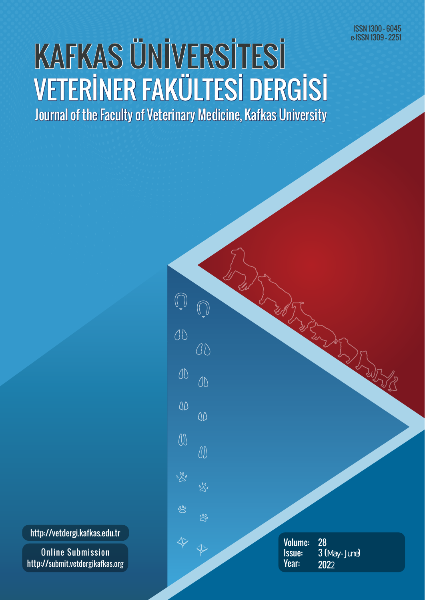ISSN 1300 - 6045 e-ISSN 1309 - 2251

## KAFKAS ÜNİVERSİTESİ Journal of the Faculty of Veterinary Medicine, Kafkas University VETERİNER FAKÜLTESİ DERGİSİ

http://vetdergi.kafkas.edu.tr

Online Submission http://submit.vetdergikafkas.org

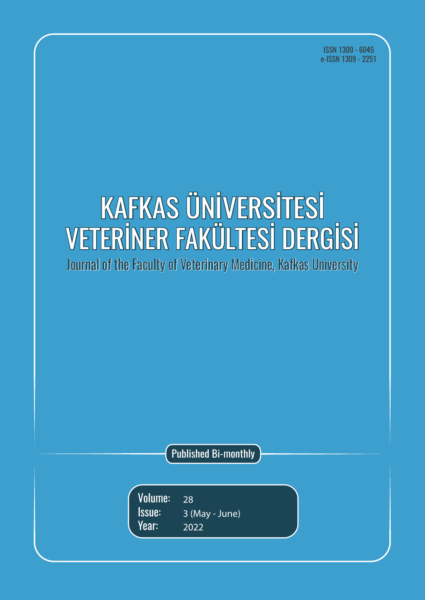ISSN 1300 - 6045 e-ISSN 1309 - 2251

# KAFKAS ÜNİVERSİTESİ VETERİNER FAKÜLTESİ DERGİSİ

Journal of the Faculty of Veterinary Medicine, Kafkas University

Published Bi-monthly

26 28 3 (May - June) 2020 2022Volume: Issue: Year: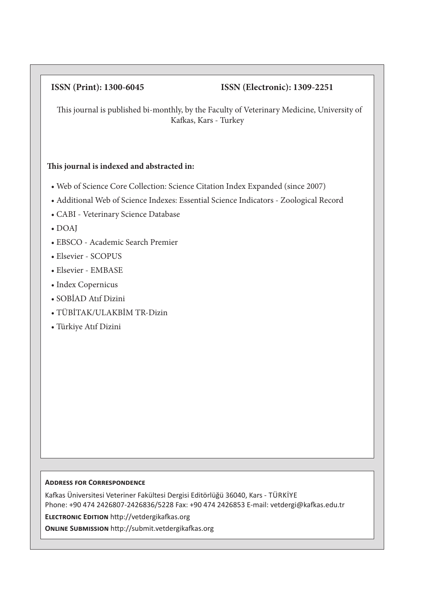### **ISSN (Print): 1300-6045 ISSN (Electronic): 1309-2251**

This journal is published bi-monthly, by the Faculty of Veterinary Medicine, University of Kafkas, Kars - Turkey

#### **This journal is indexed and abstracted in:**

- Web of Science Core Collection: Science Citation Index Expanded (since 2007)
- Additional Web of Science Indexes: Essential Science Indicators Zoological Record
- CABI Veterinary Science Database
- DOAJ
- EBSCO Academic Search Premier
- Elsevier SCOPUS
- Elsevier EMBASE
- Index Copernicus
- SOBİAD Atıf Dizini
- TÜBİTAK/ULAKBİM TR-Dizin
- Türkiye Atıf Dizini

#### **Address for Correspondence**

Kafkas Üniversitesi Veteriner Fakültesi Dergisi Editörlüğü 36040, Kars - TÜRKİYE Phone: +90 474 2426807-2426836/5228 Fax: +90 474 2426853 E-mail: vetdergi@kafkas.edu.tr

**Electronic Edition** http://vetdergikafkas.org

**Online Submission** http://submit.vetdergikafkas.org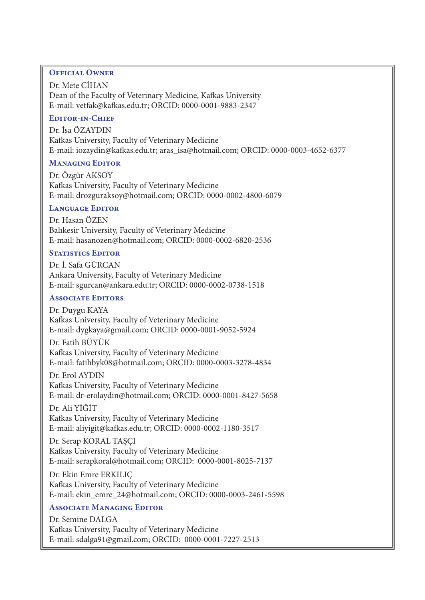#### **Official Owner**

Dr. Mete CİHAN Dean of the Faculty of Veterinary Medicine, Kafkas University E-mail: vetfak@kafkas.edu.tr; ORCID: 0000-0001-9883-2347

#### **Editor-in-Chief**

Dr. İsa ÖZAYDIN Kafkas University, Faculty of Veterinary Medicine E-mail: iozaydin@kafkas.edu.tr; aras\_isa@hotmail.com; ORCID: 0000-0003-4652-6377

#### **Managing Editor**

Dr. Özgür AKSOY Kafkas University, Faculty of Veterinary Medicine E-mail: drozguraksoy@hotmail.com; ORCID: 0000-0002-4800-6079

#### **Language Editor**

Dr. Hasan ÖZEN Balıkesir University, Faculty of Veterinary Medicine E-mail: hasanozen@hotmail.com; ORCID: 0000-0002-6820-2536

#### **STATISTICS EDITOR**

Dr. İ. Safa GÜRCAN Ankara University, Faculty of Veterinary Medicine E-mail: sgurcan@ankara.edu.tr; ORCID: 0000-0002-0738-1518

#### **Associate Editors**

Dr. Duygu KAYA Kafkas University, Faculty of Veterinary Medicine E-mail: dygkaya@gmail.com; ORCID: 0000-0001-9052-5924

Dr. Fatih BÜYÜK Kafkas University, Faculty of Veterinary Medicine E-mail: fatihbyk08@hotmail.com; ORCID: 0000-0003-3278-4834

Dr. Erol AYDIN

Kafkas University, Faculty of Veterinary Medicine E-mail: dr-erolaydin@hotmail.com; ORCID: 0000-0001-8427-5658

Dr. Ali YİĞİT Kafkas University, Faculty of Veterinary Medicine E-mail: aliyigit@kafkas.edu.tr; ORCID: 0000-0002-1180-3517

Dr. Serap KORAL TASCI Kafkas University, Faculty of Veterinary Medicine E-mail: serapkoral@hotmail.com; ORCID: 0000-0001-8025-7137

Dr. Ekin Emre ERKILIÇ Kafkas University, Faculty of Veterinary Medicine E-mail: ekin\_emre\_24@hotmail.com; ORCID: 0000-0003-2461-5598

#### **Associate Managing Editor**

Dr. Semine DALGA Kafkas University, Faculty of Veterinary Medicine E-mail: sdalga91@gmail.com; ORCID: 0000-0001-7227-2513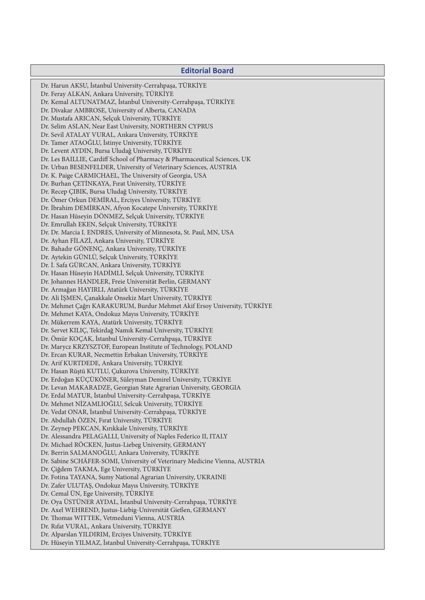#### **Editorial Board**

Dr. Harun AKSU, İstanbul University-Cerrahpaşa, TÜRKİYE Dr. Feray ALKAN, Ankara University, TÜRKİYE Dr. Kemal ALTUNATMAZ, İstanbul University-Cerrahpaşa, TÜRKİYE Dr. Divakar AMBROSE, University of Alberta, CANADA Dr. Mustafa ARICAN, Selçuk University, TÜRKİYE Dr. Selim ASLAN, Near East University, NORTHERN CYPRUS Dr. Sevil ATALAY VURAL, Ankara University, TÜRKİYE Dr. Tamer ATAOĞLU, İstinye University, TÜRKİYE Dr. Levent AYDIN, Bursa Uludağ University, TÜRKİYE Dr. Les BAILLIE, Cardiff School of Pharmacy & Pharmaceutical Sciences, UK Dr. Urban BESENFELDER, University of Veterinary Sciences, AUSTRIA Dr. K. Paige CARMICHAEL, The University of Georgia, USA Dr. Burhan ÇETİNKAYA, Fırat University, TÜRKİYE Dr. Recep ÇIBIK, Bursa Uludağ University, TÜRKİYE Dr. Ömer Orkun DEMİRAL, Erciyes University, TÜRKİYE Dr. İbrahim DEMİRKAN, Afyon Kocatepe University, TÜRKİYE Dr. Hasan Hüseyin DÖNMEZ, Selçuk University, TÜRKİYE Dr. Emrullah EKEN, Selçuk University, TÜRKİYE Dr. Dr. Marcia I. ENDRES, University of Minnesota, St. Paul, MN, USA Dr. Ayhan FİLAZİ, Ankara University, TÜRKİYE Dr. Bahadır GÖNENÇ, Ankara University, TÜRKİYE Dr. Aytekin GÜNLÜ, Selçuk University, TÜRKİYE Dr. İ. Safa GÜRCAN, Ankara University, TÜRKİYE Dr. Hasan Hüseyin HADİMLİ, Selçuk University, TÜRKİYE Dr. Johannes HANDLER, Freie Universität Berlin, GERMANY Dr. Armağan HAYIRLI, Atatürk University, TÜRKİYE Dr. Ali İŞMEN, Çanakkale Onsekiz Mart University, TÜRKİYE Dr. Mehmet Çağrı KARAKURUM, Burdur Mehmet Akif Ersoy University, TÜRKİYE Dr. Mehmet KAYA, Ondokuz Mayıs University, TÜRKİYE Dr. Mükerrem KAYA, Atatürk University, TÜRKİYE Dr. Servet KILIÇ, Tekirdağ Namık Kemal University, TÜRKİYE Dr. Ömür KOÇAK, İstanbul University-Cerrahpaşa, TÜRKİYE Dr. Marycz KRZYSZTOF, European Institute of Technology, POLAND Dr. Ercan KURAR, Necmettin Erbakan University, TÜRKİYE Dr. Arif KURTDEDE, Ankara University, TÜRKİYE Dr. Hasan Rüştü KUTLU, Çukurova University, TÜRKİYE Dr. Erdoğan KÜÇÜKÖNER, Süleyman Demirel University, TÜRKİYE Dr. Levan MAKARADZE, Georgian State Agrarian University, GEORGIA Dr. Erdal MATUR, İstanbul University-Cerrahpaşa, TÜRKİYE Dr. Mehmet NİZAMLIOĞLU, Selcuk University, TÜRKİYE Dr. Vedat ONAR, İstanbul University-Cerrahpaşa, TÜRKİYE Dr. Abdullah ÖZEN, Fırat University, TÜRKİYE Dr. Zeynep PEKCAN, Kırıkkale University, TÜRKİYE Dr. Alessandra PELAGALLI, University of Naples Federico II, ITALY Dr. Michael RÖCKEN, Justus-Liebeg University, GERMANY Dr. Berrin SALMANOĞLU, Ankara University, TÜRKİYE Dr. Sabine SCHÄFER-SOMI, University of Veterinary Medicine Vienna, AUSTRIA Dr. Çiğdem TAKMA, Ege University, TÜRKİYE Dr. Fotina TAYANA, Sumy National Agrarian University, UKRAINE Dr. Zafer ULUTAŞ, Ondokuz Mayıs University, TÜRKİYE Dr. Cemal ÜN, Ege University, TÜRKİYE Dr. Oya ÜSTÜNER AYDAL, İstanbul University-Cerrahpaşa, TÜRKİYE Dr. Axel WEHREND, Justus-Liebig-Universität Gießen, GERMANY Dr. Thomas WITTEK, Vetmeduni Vienna, AUSTRIA Dr. Rıfat VURAL, Ankara University, TÜRKİYE Dr. Alparslan YILDIRIM, Erciyes University, TÜRKİYE Dr. Hüseyin YILMAZ, İstanbul University-Cerrahpaşa, TÜRKİYE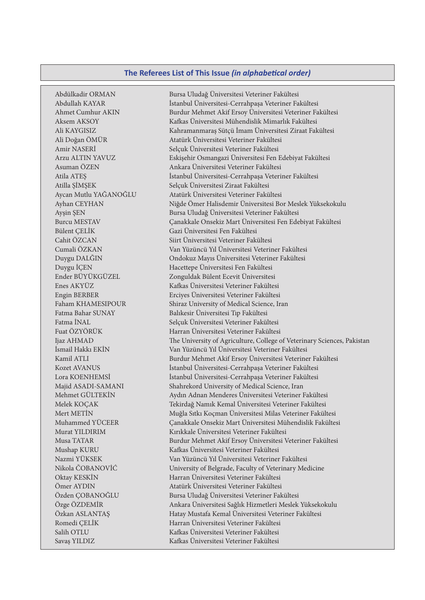#### **The Referees List of This Issue** *(in alphabetical order)*

Abdülkadir ORMAN Bursa Uludağ Üniversitesi Veteriner Fakültesi Abdullah KAYAR İstanbul Üniversitesi-Cerrahpaşa Veteriner Fakültesi Ahmet Cumhur AKIN Burdur Mehmet Akif Ersoy Üniversitesi Veteriner Fakültesi Aksem AKSOY Kafkas Üniversitesi Mühendislik Mimarlık Fakültesi Ali KAYGISIZ Kahramanmaraş Sütçü İmam Üniversitesi Ziraat Fakültesi Ali Doğan ÖMÜR Atatürk Üniversitesi Veteriner Fakültesi Amir NASERİ Selçuk Üniversitesi Veteriner Fakültesi Arzu ALTIN YAVUZ Eskişehir Osmangazi Üniversitesi Fen Edebiyat Fakültesi Asuman ÖZEN Ankara Üniversitesi Veteriner Fakültesi Atila ATEŞ İstanbul Üniversitesi-Cerrahpaşa Veteriner Fakültesi Atilla ŞİMŞEK Selçuk Üniversitesi Ziraat Fakültesi Aycan Mutlu YAĞANOĞLU Atatürk Üniversitesi Veteriner Fakültesi Ayhan CEYHAN Niğde Ömer Halisdemir Üniversitesi Bor Meslek Yüksekokulu Ayşin ŞEN Bursa Uludağ Üniversitesi Veteriner Fakültesi Burcu MESTAV Çanakkale Onsekiz Mart Üniversitesi Fen Edebiyat Fakültesi Bülent ÇELİK Gazi Üniversitesi Fen Fakültesi Cahit ÖZCAN Siirt Üniversitesi Veteriner Fakültesi Cumali ÖZKAN Van Yüzüncü Yıl Üniversitesi Veteriner Fakültesi Duygu DALĞIN Ondokuz Mayıs Üniversitesi Veteriner Fakültesi Duygu İÇEN Hacettepe Üniversitesi Fen Fakültesi Ender BÜYÜKGÜZEL Zonguldak Bülent Ecevit Üniversitesi Enes AKYÜZ Kafkas Üniversitesi Veteriner Fakültesi Engin BERBER Erciyes Üniversitesi Veteriner Fakültesi Faham KHAMESIPOUR Shiraz University of Medical Science, Iran Fatma Bahar SUNAY Balıkesir Üniversitesi Tıp Fakültesi Fatma İNAL Selçuk Üniversitesi Veteriner Fakültesi Fuat ÖZYÖRÜK Harran Üniversitesi Veteriner Fakültesi Ijaz AHMAD The University of Agriculture, College of Veterinary Sciences, Pakistan İsmail Hakkı EKİN Van Yüzüncü Yıl Üniversitesi Veteriner Fakültesi Kamil ATLI Burdur Mehmet Akif Ersoy Üniversitesi Veteriner Fakültesi Kozet AVANUS İstanbul Üniversitesi-Cerrahpaşa Veteriner Fakültesi Lora KOENHEMSİ İstanbul Üniversitesi-Cerrahpaşa Veteriner Fakültesi Majid ASADI-SAMANI Shahrekord University of Medical Science, Iran Mehmet GÜLTEKİN Aydın Adnan Menderes Üniversitesi Veteriner Fakültesi Melek KOÇAK Tekirdağ Namık Kemal Üniversitesi Veteriner Fakültesi Mert METİN Muğla Sıtkı Koçman Üniversitesi Milas Veteriner Fakültesi Muhammed YÜCEER Çanakkale Onsekiz Mart Üniversitesi Mühendislik Fakültesi Murat YILDIRIM Kırıkkale Üniversitesi Veteriner Fakültesi Musa TATAR Burdur Mehmet Akif Ersoy Üniversitesi Veteriner Fakültesi Mushap KURU Kafkas Üniversitesi Veteriner Fakültesi Nazmi YÜKSEK Van Yüzüncü Yıl Üniversitesi Veteriner Fakültesi Nikola ČOBANOVİĆ University of Belgrade, Faculty of Veterinary Medicine Oktay KESKİN Harran Üniversitesi Veteriner Fakültesi Ömer AYDIN Atatürk Üniversitesi Veteriner Fakültesi Özden ÇOBANOĞLU Bursa Uludağ Üniversitesi Veteriner Fakültesi Özge ÖZDEMİR Ankara Üniversitesi Sağlık Hizmetleri Meslek Yüksekokulu Özkan ASLANTAŞ Hatay Mustafa Kemal Üniversitesi Veteriner Fakültesi Romedi ÇELİK Harran Üniversitesi Veteriner Fakültesi Salih OTLU Kafkas Üniversitesi Veteriner Fakültesi Savaş YILDIZ Kafkas Üniversitesi Veteriner Fakültesi